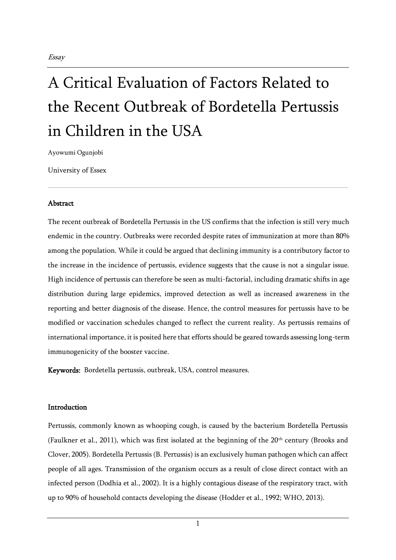Ayowumi Ogunjobi

University of Essex

#### Abstract

The recent outbreak of Bordetella Pertussis in the US confirms that the infection is still very much endemic in the country. Outbreaks were recorded despite rates of immunization at more than 80% among the population. While it could be argued that declining immunity is a contributory factor to the increase in the incidence of pertussis, evidence suggests that the cause is not a singular issue. High incidence of pertussis can therefore be seen as multi-factorial, including dramatic shifts in age distribution during large epidemics, improved detection as well as increased awareness in the reporting and better diagnosis of the disease. Hence, the control measures for pertussis have to be modified or vaccination schedules changed to reflect the current reality. As pertussis remains of international importance, it is posited here that efforts should be geared towards assessing long-term immunogenicity of the booster vaccine.

Keywords: Bordetella pertussis, outbreak, USA, control measures.

#### Introduction

Pertussis, commonly known as whooping cough, is caused by the bacterium Bordetella Pertussis (Faulkner et al., 2011), which was first isolated at the beginning of the 20<sup>th</sup> century (Brooks and Clover, 2005). Bordetella Pertussis (B. Pertussis) is an exclusively human pathogen which can affect people of all ages. Transmission of the organism occurs as a result of close direct contact with an infected person (Dodhia et al., 2002). It is a highly contagious disease of the respiratory tract, with up to 90% of household contacts developing the disease (Hodder et al., 1992; WHO, 2013).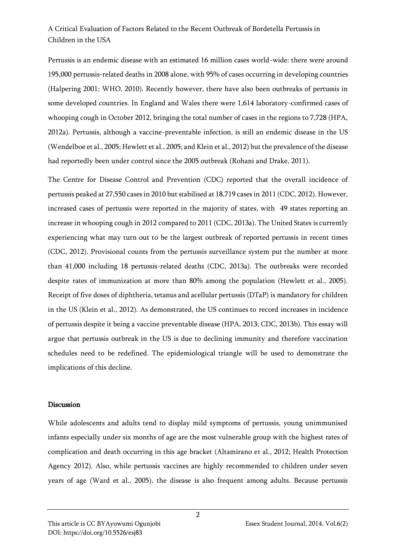Pertussis is an endemic disease with an estimated 16 million cases world-wide: there were around 195,000 pertussis-related deaths in 2008 alone, with 95% of cases occurring in developing countries (Halpering 2001; WHO, 2010). Recently however, there have also been outbreaks of pertussis in some developed countries. In England and Wales there were 1,614 laboratory-confirmed cases of whooping cough in October 2012, bringing the total number of cases in the regions to 7,728 (HPA, 2012a). Pertussis, although a vaccine-preventable infection, is still an endemic disease in the US (Wendelboe et al., 2005; Hewlett et al., 2005; and Klein et al., 2012) but the prevalence of the disease had reportedly been under control since the 2005 outbreak (Rohani and Drake, 2011).

The Centre for Disease Control and Prevention (CDC) reported that the overall incidence of pertussis peaked at 27,550 cases in 2010 but stabilised at 18,719 cases in 2011 (CDC, 2012). However, increased cases of pertussis were reported in the majority of states, with 49 states reporting an increase in whooping cough in 2012 compared to 2011 (CDC, 2013a). The United States is currently experiencing what may turn out to be the largest outbreak of reported pertussis in recent times (CDC, 2012). Provisional counts from the pertussis surveillance system put the number at more than 41,000 including 18 pertussis-related deaths (CDC, 2013a). The outbreaks were recorded despite rates of immunization at more than 80% among the population (Hewlett et al., 2005). Receipt of five doses of diphtheria, tetanus and acellular pertussis (DTaP) is mandatory for children in the US (Klein et al., 2012). As demonstrated, the US continues to record increases in incidence of pertussis despite it being a vaccine preventable disease (HPA, 2013; CDC, 2013b). This essay will argue that pertussis outbreak in the US is due to declining immunity and therefore vaccination schedules need to be redefined. The epidemiological triangle will be used to demonstrate the implications of this decline.

#### **Discussion**

While adolescents and adults tend to display mild symptoms of pertussis, young unimmunised infants especially under six months of age are the most vulnerable group with the highest rates of complication and death occurring in this age bracket (Altamirano et al., 2012; Health Protection Agency 2012). Also, while pertussis vaccines are highly recommended to children under seven years of age (Ward et al., 2005), the disease is also frequent among adults. Because pertussis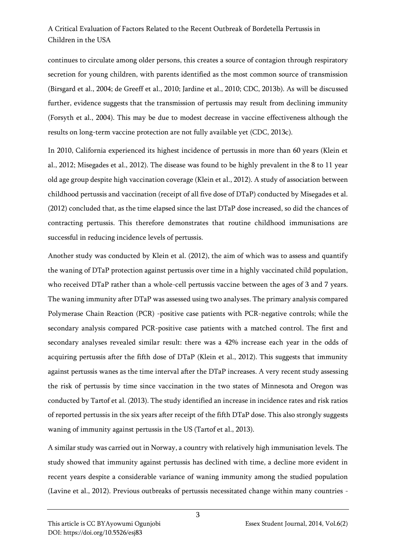continues to circulate among older persons, this creates a source of contagion through respiratory secretion for young children, with parents identified as the most common source of transmission (Birsgard et al., 2004; de Greeff et al., 2010; Jardine et al., 2010; CDC, 2013b). As will be discussed further, evidence suggests that the transmission of pertussis may result from declining immunity (Forsyth et al., 2004). This may be due to modest decrease in vaccine effectiveness although the results on long-term vaccine protection are not fully available yet (CDC, 2013c).

In 2010, California experienced its highest incidence of pertussis in more than 60 years (Klein et al., 2012; Misegades et al., 2012). The disease was found to be highly prevalent in the 8 to 11 year old age group despite high vaccination coverage (Klein et al., 2012). A study of association between childhood pertussis and vaccination (receipt of all five dose of DTaP) conducted by Misegades et al. (2012) concluded that, as the time elapsed since the last DTaP dose increased, so did the chances of contracting pertussis. This therefore demonstrates that routine childhood immunisations are successful in reducing incidence levels of pertussis.

Another study was conducted by Klein et al. (2012), the aim of which was to assess and quantify the waning of DTaP protection against pertussis over time in a highly vaccinated child population, who received DTaP rather than a whole-cell pertussis vaccine between the ages of 3 and 7 years. The waning immunity after DTaP was assessed using two analyses. The primary analysis compared Polymerase Chain Reaction (PCR) -positive case patients with PCR-negative controls; while the secondary analysis compared PCR-positive case patients with a matched control. The first and secondary analyses revealed similar result: there was a 42% increase each year in the odds of acquiring pertussis after the fifth dose of DTaP (Klein et al., 2012). This suggests that immunity against pertussis wanes as the time interval after the DTaP increases. A very recent study assessing the risk of pertussis by time since vaccination in the two states of Minnesota and Oregon was conducted by Tartof et al. (2013). The study identified an increase in incidence rates and risk ratios of reported pertussis in the six years after receipt of the fifth DTaP dose. This also strongly suggests waning of immunity against pertussis in the US (Tartof et al., 2013).

A similar study was carried out in Norway, a country with relatively high immunisation levels. The study showed that immunity against pertussis has declined with time, a decline more evident in recent years despite a considerable variance of waning immunity among the studied population (Lavine et al., 2012). Previous outbreaks of pertussis necessitated change within many countries -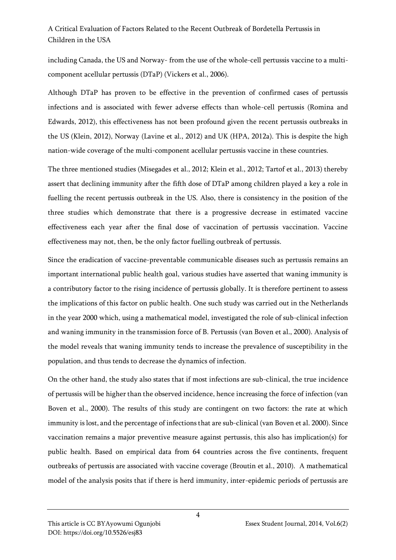including Canada, the US and Norway- from the use of the whole-cell pertussis vaccine to a multicomponent acellular pertussis (DTaP) (Vickers et al., 2006).

Although DTaP has proven to be effective in the prevention of confirmed cases of pertussis infections and is associated with fewer adverse effects than whole-cell pertussis (Romina and Edwards, 2012), this effectiveness has not been profound given the recent pertussis outbreaks in the US (Klein, 2012), Norway (Lavine et al., 2012) and UK (HPA, 2012a). This is despite the high nation-wide coverage of the multi-component acellular pertussis vaccine in these countries.

The three mentioned studies (Misegades et al., 2012; Klein et al., 2012; Tartof et al., 2013) thereby assert that declining immunity after the fifth dose of DTaP among children played a key a role in fuelling the recent pertussis outbreak in the US. Also, there is consistency in the position of the three studies which demonstrate that there is a progressive decrease in estimated vaccine effectiveness each year after the final dose of vaccination of pertussis vaccination. Vaccine effectiveness may not, then, be the only factor fuelling outbreak of pertussis.

Since the eradication of vaccine-preventable communicable diseases such as pertussis remains an important international public health goal, various studies have asserted that waning immunity is a contributory factor to the rising incidence of pertussis globally. It is therefore pertinent to assess the implications of this factor on public health. One such study was carried out in the Netherlands in the year 2000 which, using a mathematical model, investigated the role of sub-clinical infection and waning immunity in the transmission force of B. Pertussis (van Boven et al., 2000). Analysis of the model reveals that waning immunity tends to increase the prevalence of susceptibility in the population, and thus tends to decrease the dynamics of infection.

On the other hand, the study also states that if most infections are sub-clinical, the true incidence of pertussis will be higher than the observed incidence, hence increasing the force of infection (van Boven et al., 2000). The results of this study are contingent on two factors: the rate at which immunity is lost, and the percentage of infections that are sub-clinical (van Boven et al. 2000). Since vaccination remains a major preventive measure against pertussis, this also has implication(s) for public health. Based on empirical data from 64 countries across the five continents, frequent outbreaks of pertussis are associated with vaccine coverage (Broutin et al., 2010). A mathematical model of the analysis posits that if there is herd immunity, inter-epidemic periods of pertussis are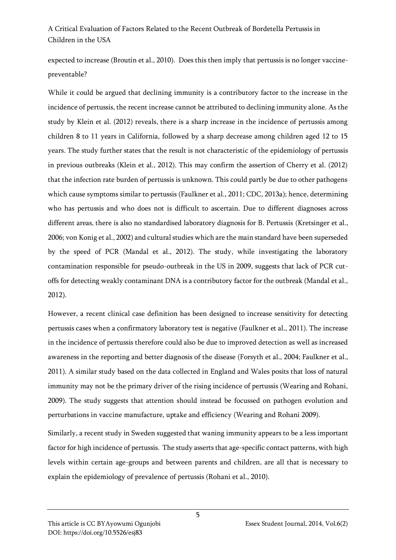expected to increase (Broutin et al., 2010). Does this then imply that pertussis is no longer vaccinepreventable?

While it could be argued that declining immunity is a contributory factor to the increase in the incidence of pertussis, the recent increase cannot be attributed to declining immunity alone. As the study by Klein et al. (2012) reveals, there is a sharp increase in the incidence of pertussis among children 8 to 11 years in California, followed by a sharp decrease among children aged 12 to 15 years. The study further states that the result is not characteristic of the epidemiology of pertussis in previous outbreaks (Klein et al., 2012). This may confirm the assertion of Cherry et al. (2012) that the infection rate burden of pertussis is unknown. This could partly be due to other pathogens which cause symptoms similar to pertussis (Faulkner et al., 2011; CDC, 2013a); hence, determining who has pertussis and who does not is difficult to ascertain. Due to different diagnoses across different areas, there is also no standardised laboratory diagnosis for B. Pertussis (Kretsinger et al., 2006; von Konig et al., 2002) and cultural studies which are the main standard have been superseded by the speed of PCR (Mandal et al., 2012). The study, while investigating the laboratory contamination responsible for pseudo-outbreak in the US in 2009, suggests that lack of PCR cutoffs for detecting weakly contaminant DNA is a contributory factor for the outbreak (Mandal et al., 2012).

However, a recent clinical case definition has been designed to increase sensitivity for detecting pertussis cases when a confirmatory laboratory test is negative (Faulkner et al., 2011). The increase in the incidence of pertussis therefore could also be due to improved detection as well as increased awareness in the reporting and better diagnosis of the disease (Forsyth et al., 2004; Faulkner et al., 2011). A similar study based on the data collected in England and Wales posits that loss of natural immunity may not be the primary driver of the rising incidence of pertussis (Wearing and Rohani, 2009). The study suggests that attention should instead be focussed on pathogen evolution and perturbations in vaccine manufacture, uptake and efficiency (Wearing and Rohani 2009).

Similarly, a recent study in Sweden suggested that waning immunity appears to be a less important factor for high incidence of pertussis. The study asserts that age-specific contact patterns, with high levels within certain age-groups and between parents and children, are all that is necessary to explain the epidemiology of prevalence of pertussis (Rohani et al., 2010).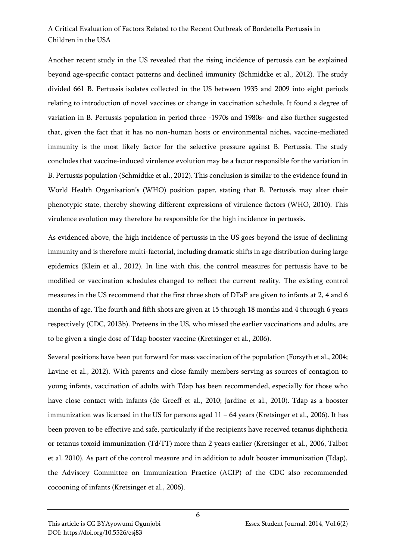Another recent study in the US revealed that the rising incidence of pertussis can be explained beyond age-specific contact patterns and declined immunity (Schmidtke et al., 2012). The study divided 661 B. Pertussis isolates collected in the US between 1935 and 2009 into eight periods relating to introduction of novel vaccines or change in vaccination schedule. It found a degree of variation in B. Pertussis population in period three -1970s and 1980s- and also further suggested that, given the fact that it has no non-human hosts or environmental niches, vaccine-mediated immunity is the most likely factor for the selective pressure against B. Pertussis. The study concludes that vaccine-induced virulence evolution may be a factor responsible for the variation in B. Pertussis population (Schmidtke et al., 2012). This conclusion is similar to the evidence found in World Health Organisation's (WHO) position paper, stating that B. Pertussis may alter their phenotypic state, thereby showing different expressions of virulence factors (WHO, 2010). This virulence evolution may therefore be responsible for the high incidence in pertussis.

As evidenced above, the high incidence of pertussis in the US goes beyond the issue of declining immunity and is therefore multi-factorial, including dramatic shifts in age distribution during large epidemics (Klein et al., 2012). In line with this, the control measures for pertussis have to be modified or vaccination schedules changed to reflect the current reality. The existing control measures in the US recommend that the first three shots of DTaP are given to infants at 2, 4 and 6 months of age. The fourth and fifth shots are given at 15 through 18 months and 4 through 6 years respectively (CDC, 2013b). Preteens in the US, who missed the earlier vaccinations and adults, are to be given a single dose of Tdap booster vaccine (Kretsinger et al., 2006).

Several positions have been put forward for mass vaccination of the population (Forsyth et al., 2004; Lavine et al., 2012). With parents and close family members serving as sources of contagion to young infants, vaccination of adults with Tdap has been recommended, especially for those who have close contact with infants (de Greeff et al., 2010; Jardine et al., 2010). Tdap as a booster immunization was licensed in the US for persons aged 11 – 64 years (Kretsinger et al., 2006). It has been proven to be effective and safe, particularly if the recipients have received tetanus diphtheria or tetanus toxoid immunization (Td/TT) more than 2 years earlier (Kretsinger et al., 2006, Talbot et al. 2010). As part of the control measure and in addition to adult booster immunization (Tdap), the Advisory Committee on Immunization Practice (ACIP) of the CDC also recommended cocooning of infants (Kretsinger et al., 2006).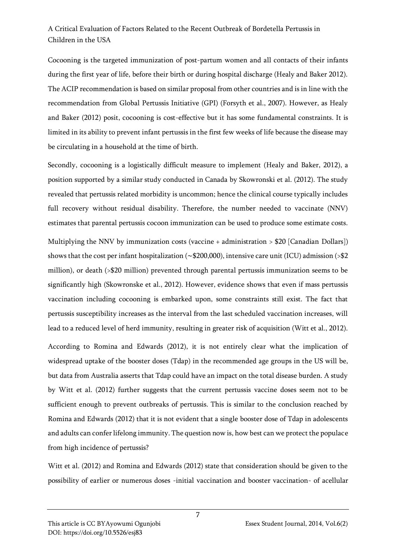Cocooning is the targeted immunization of post-partum women and all contacts of their infants during the first year of life, before their birth or during hospital discharge (Healy and Baker 2012). The ACIP recommendation is based on similar proposal from other countries and is in line with the recommendation from Global Pertussis Initiative (GPI) (Forsyth et al., 2007). However, as Healy and Baker (2012) posit, cocooning is cost-effective but it has some fundamental constraints. It is limited in its ability to prevent infant pertussis in the first few weeks of life because the disease may be circulating in a household at the time of birth.

Secondly, cocooning is a logistically difficult measure to implement (Healy and Baker, 2012), a position supported by a similar study conducted in Canada by Skowronski et al. (2012). The study revealed that pertussis related morbidity is uncommon; hence the clinical course typically includes full recovery without residual disability. Therefore, the number needed to vaccinate (NNV) estimates that parental pertussis cocoon immunization can be used to produce some estimate costs.

Multiplying the NNV by immunization costs (vaccine + administration > \$20 [Canadian Dollars]) shows that the cost per infant hospitalization (∼\$200,000), intensive care unit (ICU) admission (>\$2 million), or death (>\$20 million) prevented through parental pertussis immunization seems to be significantly high (Skowronske et al., 2012). However, evidence shows that even if mass pertussis vaccination including cocooning is embarked upon, some constraints still exist. The fact that pertussis susceptibility increases as the interval from the last scheduled vaccination increases, will lead to a reduced level of herd immunity, resulting in greater risk of acquisition (Witt et al., 2012).

According to Romina and Edwards (2012), it is not entirely clear what the implication of widespread uptake of the booster doses (Tdap) in the recommended age groups in the US will be, but data from Australia asserts that Tdap could have an impact on the total disease burden. A study by Witt et al. (2012) further suggests that the current pertussis vaccine doses seem not to be sufficient enough to prevent outbreaks of pertussis. This is similar to the conclusion reached by Romina and Edwards (2012) that it is not evident that a single booster dose of Tdap in adolescents and adults can confer lifelong immunity. The question now is, how best can we protect the populace from high incidence of pertussis?

Witt et al. (2012) and Romina and Edwards (2012) state that consideration should be given to the possibility of earlier or numerous doses -initial vaccination and booster vaccination- of acellular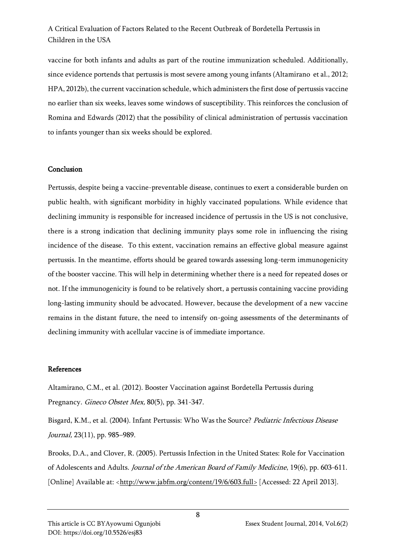vaccine for both infants and adults as part of the routine immunization scheduled. Additionally, since evidence portends that pertussis is most severe among young infants (Altamirano et al., 2012; HPA, 2012b), the current vaccination schedule, which administers the first dose of pertussis vaccine no earlier than six weeks, leaves some windows of susceptibility. This reinforces the conclusion of Romina and Edwards (2012) that the possibility of clinical administration of pertussis vaccination to infants younger than six weeks should be explored.

#### Conclusion

Pertussis, despite being a vaccine-preventable disease, continues to exert a considerable burden on public health, with significant morbidity in highly vaccinated populations. While evidence that declining immunity is responsible for increased incidence of pertussis in the US is not conclusive, there is a strong indication that declining immunity plays some role in influencing the rising incidence of the disease. To this extent, vaccination remains an effective global measure against pertussis. In the meantime, efforts should be geared towards assessing long-term immunogenicity of the booster vaccine. This will help in determining whether there is a need for repeated doses or not. If the immunogenicity is found to be relatively short, a pertussis containing vaccine providing long-lasting immunity should be advocated. However, because the development of a new vaccine remains in the distant future, the need to intensify on-going assessments of the determinants of declining immunity with acellular vaccine is of immediate importance.

#### References

Altamirano, C.M., et al. (2012). Booster Vaccination against Bordetella Pertussis during Pregnancy. Gineco Obstet Mex, 80(5), pp. 341-347.

Bisgard, K.M., et al. (2004). Infant Pertussis: Who Was the Source? Pediatric Infectious Disease Journal, 23(11), pp. 985–989.

Brooks, D.A., and Clover, R. (2005). Pertussis Infection in the United States: Role for Vaccination of Adolescents and Adults. Journal of the American Board of Family Medicine, 19(6), pp. 603-611. [Online] Available at: [<http://www.jabfm.org/content/19/6/603.full>](http://www.jabfm.org/content/19/6/603.full) [Accessed: 22 April 2013].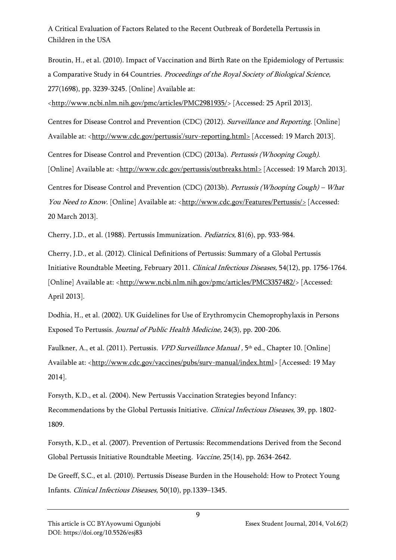Broutin, H., et al. (2010). Impact of Vaccination and Birth Rate on the Epidemiology of Pertussis: a Comparative Study in 64 Countries. Proceedings of the Royal Society of Biological Science, 277(1698), pp. 3239-3245. [Online] Available at:

[<http://www.ncbi.nlm.nih.gov/pmc/articles/PMC2981935/>](http://www.ncbi.nlm.nih.gov/pmc/articles/PMC2981935/) [Accessed: 25 April 2013].

Centres for Disease Control and Prevention (CDC) (2012). Surveillance and Reporting. [Online] Available at: <[http://www.cdc.gov/pertussis'/surv](http://www.cdc.gov/pertussis)-reporting.html> [Accessed: 19 March 2013].

Centres for Disease Control and Prevention (CDC) (2013a). Pertussis (Whooping Cough).

[Online] Available at: [<http://www.cdc.gov/pertussis/outbreaks.html>](http://www.cdc.gov/pertussis/outbreaks.html) [Accessed: 19 March 2013].

Centres for Disease Control and Prevention (CDC) (2013b). Pertussis (Whooping Cough) – What You Need to Know. [Online] Available at: [<http://www.cdc.gov/Features/Pertussis/>](http://www.cdc.gov/Features/Pertussis/) [Accessed: 20 March 2013].

Cherry, J.D., et al. (1988). Pertussis Immunization. Pediatrics, 81(6), pp. 933-984.

Cherry, J.D., et al. (2012). Clinical Definitions of Pertussis: Summary of a Global Pertussis Initiative Roundtable Meeting, February 2011. Clinical Infectious Diseases, 54(12), pp. 1756-1764. [Online] Available at: [<http://www.ncbi.nlm.nih.gov/pmc/articles/PMC3357482/>](http://www.ncbi.nlm.nih.gov/pmc/articles/PMC3357482/) [Accessed: April 2013].

Dodhia, H., et al. (2002). UK Guidelines for Use of Erythromycin Chemoprophylaxis in Persons Exposed To Pertussis. Journal of Public Health Medicine, 24(3), pp. 200-206.

Faulkner, A., et al. (2011). Pertussis. *VPD Surveillance Manual ,* 5<sup>th</sup> ed., Chapter 10. [Online] Available at: [<http://www.cdc.gov/vaccines/pubs/surv-manual/index.html>](http://www.cdc.gov/vaccines/pubs/surv-manual/index.html) [Accessed: 19 May] 2014].

Forsyth, K.D., et al. (2004). New Pertussis Vaccination Strategies beyond Infancy: Recommendations by the Global Pertussis Initiative. Clinical Infectious Diseases, 39, pp. 1802- 1809.

Forsyth, K.D., et al. (2007). Prevention of Pertussis: Recommendations Derived from the Second Global Pertussis Initiative Roundtable Meeting. Vaccine, 25(14), pp. 2634-2642.

De Greeff, S.C., et al. (2010). Pertussis Disease Burden in the Household: How to Protect Young Infants. Clinical Infectious Diseases, 50(10), pp.1339–1345.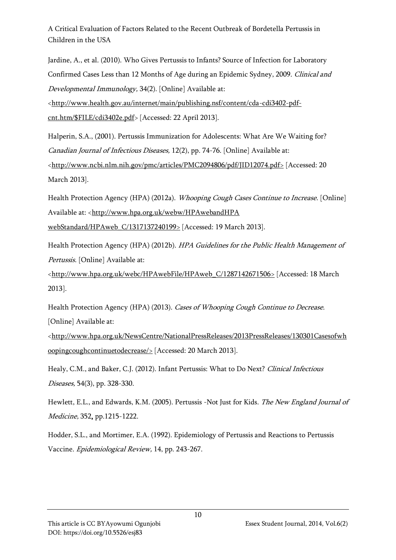Jardine, A., et al. (2010). Who Gives Pertussis to Infants? Source of Infection for Laboratory Confirmed Cases Less than 12 Months of Age during an Epidemic Sydney, 2009. Clinical and Developmental Immunology, 34(2). [Online] Available at:

[<http://www.health.gov.au/internet/main/publishing.nsf/content/cda-cdi3402-pdf](http://www.health.gov.au/internet/main/publishing.nsf/content/cda-cdi3402-pdf-cnt.htm/$FILE/cdi3402e.pdf)[cnt.htm/\\$FILE/cdi3402e.pdf>](http://www.health.gov.au/internet/main/publishing.nsf/content/cda-cdi3402-pdf-cnt.htm/$FILE/cdi3402e.pdf) [Accessed: 22 April 2013].

Halperin, S.A., (2001). Pertussis Immunization for Adolescents: What Are We Waiting for? Canadian Journal of Infectious Diseases, 12(2), pp. 74-76. [Online] Available at: [<http://www.ncbi.nlm.nih.gov/pmc/articles/PMC2094806/pdf/JID12074.pdf>](http://www.ncbi.nlm.nih.gov/pmc/articles/PMC2094806/pdf/JID12074.pdf) [Accessed: 20 March 2013].

Health Protection Agency (HPA) (2012a). *Whooping Cough Cases Continue to Increase*. [Online] Available at: [<http://www.hpa.org.uk/webw/HPAwebandHPA](http://www.hpa.org.uk/webw/HPAwebandHPA%20webStandard/HPAweb_C/1317137240199)  [webStandard/HPAweb\\_C/1317137240199>](http://www.hpa.org.uk/webw/HPAwebandHPA%20webStandard/HPAweb_C/1317137240199) [Accessed: 19 March 2013].

Health Protection Agency (HPA) (2012b). HPA Guidelines for the Public Health Management of Pertussis. [Online] Available at:

[<http://www.hpa.org.uk/webc/HPAwebFile/HPAweb\\_C/1287142671506>](http://www.hpa.org.uk/webc/HPAwebFile/HPAweb_C/1287142671506) [Accessed: 18 March 2013].

Health Protection Agency (HPA) (2013). Cases of Whooping Cough Continue to Decrease. [Online] Available at:

[<http://www.hpa.org.uk/NewsCentre/NationalPressReleases/2013PressReleases/130301Casesofwh](http://www.hpa.org.uk/NewsCentre/NationalPressReleases/2013PressReleases/130301Casesofwhoopingcoughcontinuetodecrease/) [oopingcoughcontinuetodecrease/>](http://www.hpa.org.uk/NewsCentre/NationalPressReleases/2013PressReleases/130301Casesofwhoopingcoughcontinuetodecrease/) [Accessed: 20 March 2013].

Healy, C.M., and Baker, C.J. (2012). Infant Pertussis: What to Do Next? Clinical Infectious Diseases, 54(3), pp. 328-330.

Hewlett, E.L., and Edwards, K.M. (2005). Pertussis -Not Just for Kids. The New England Journal of Medicine, 352, pp.1215-1222.

Hodder, S.L., and Mortimer, E.A. (1992). Epidemiology of Pertussis and Reactions to Pertussis Vaccine. Epidemiological Review, 14, pp. 243-267.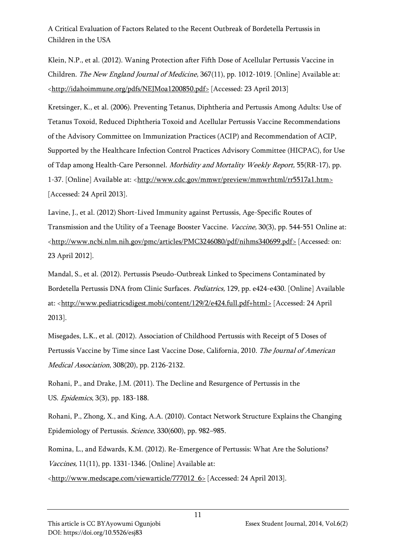Klein, N.P., et al. (2012). Waning Protection after Fifth Dose of Acellular Pertussis Vaccine in Children. The New England Journal of Medicine, 367(11), pp. 1012-1019. [Online] Available at: [<http://idahoimmune.org/pdfs/NEJMoa1200850.pdf>](http://idahoimmune.org/pdfs/NEJMoa1200850.pdf) [Accessed: 23 April 2013]

Kretsinger, K., et al. (2006). Preventing Tetanus, Diphtheria and Pertussis Among Adults: Use of Tetanus Toxoid, Reduced Diphtheria Toxoid and Acellular Pertussis Vaccine Recommendations of the Advisory Committee on Immunization Practices (ACIP) and Recommendation of ACIP, Supported by the Healthcare Infection Control Practices Advisory Committee (HICPAC), for Use of Tdap among Health-Care Personnel. Morbidity and Mortality Weekly Report, 55(RR-17), pp. 1-37. [Online] Available at: [<http://www.cdc.gov/mmwr/preview/mmwrhtml/rr5517a1.htm>](http://www.cdc.gov/mmwr/preview/mmwrhtml/rr5517a1.htm) [Accessed: 24 April 2013].

Lavine, J., et al. (2012) Short-Lived Immunity against Pertussis, Age-Specific Routes of Transmission and the Utility of a Teenage Booster Vaccine. Vaccine, 30(3), pp. 544-551 Online at: [<http://www.ncbi.nlm.nih.gov/pmc/articles/PMC3246080/pdf/nihms340699.pdf>](http://www.ncbi.nlm.nih.gov/pmc/articles/PMC3246080/pdf/nihms340699.pdf) [Accessed: on: 23 April 2012].

Mandal, S., et al. (2012). Pertussis Pseudo-Outbreak Linked to Specimens Contaminated by Bordetella Pertussis DNA from Clinic Surfaces. Pediatrics, 129, pp. e424-e430. [Online] Available at: [<http://www.pediatricsdigest.mobi/content/129/2/e424.full.pdf+html>](http://www.pediatricsdigest.mobi/content/129/2/e424.full.pdf+html) [Accessed: 24 April 2013].

Misegades, L.K., et al. (2012). Association of Childhood Pertussis with Receipt of 5 Doses of Pertussis Vaccine by Time since Last Vaccine Dose, California, 2010. The Journal of American Medical Association, 308(20), pp. 2126-2132.

Rohani, P., and Drake, J.M. (2011). The Decline and Resurgence of Pertussis in the US. Epidemics, 3(3), pp. 183-188.

Rohani, P., Zhong, X., and King, A.A. (2010). Contact Network Structure Explains the Changing Epidemiology of Pertussis. Science, 330(600), pp. 982–985.

Romina, L., and Edwards, K.M. (2012). Re-Emergence of Pertussis: What Are the Solutions? Vaccines, 11(11), pp. 1331-1346. [Online] Available at:

[<http://www.medscape.com/viewarticle/777012\\_6>](http://www.medscape.com/viewarticle/777012_6) [Accessed: 24 April 2013].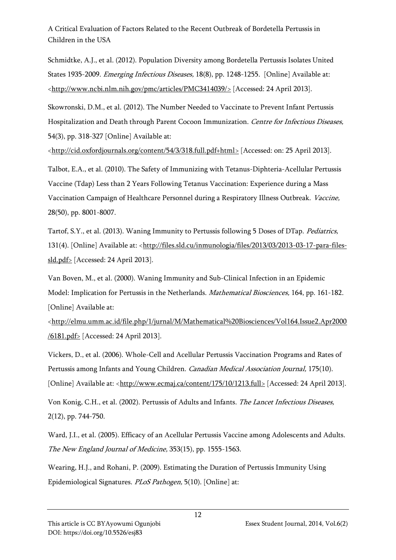Schmidtke, A.J., et al. (2012). Population Diversity among Bordetella Pertussis Isolates United States 1935-2009. Emerging Infectious Diseases, 18(8), pp. 1248-1255. [Online] Available at: [<http://www.ncbi.nlm.nih.gov/pmc/articles/PMC3414039/>](http://www.ncbi.nlm.nih.gov/pmc/articles/PMC3414039/) [Accessed: 24 April 2013].

Skowronski, D.M., et al. (2012). The Number Needed to Vaccinate to Prevent Infant Pertussis Hospitalization and Death through Parent Cocoon Immunization. Centre for Infectious Diseases, 54(3), pp. 318-327 [Online] Available at:

[<http://cid.oxfordjournals.org/content/54/3/318.full.pdf+html>](http://cid.oxfordjournals.org/content/54/3/318.full.pdf+html) [Accessed: on: 25 April 2013].

Talbot, E.A., et al. (2010). The Safety of Immunizing with Tetanus-Diphteria-Acellular Pertussis Vaccine (Tdap) Less than 2 Years Following Tetanus Vaccination: Experience during a Mass Vaccination Campaign of Healthcare Personnel during a Respiratory Illness Outbreak. Vaccine, 28(50), pp. 8001-8007.

Tartof, S.Y., et al. (2013). Waning Immunity to Pertussis following 5 Doses of DTap. Pediatrics, 131(4). [Online] Available at: [<http://files.sld.cu/inmunologia/files/2013/03/2013-03-17-para-files](http://files.sld.cu/inmunologia/files/2013/03/2013-03-17-para-files-sld.pdf)[sld.pdf>](http://files.sld.cu/inmunologia/files/2013/03/2013-03-17-para-files-sld.pdf) [Accessed: 24 April 2013].

Van Boven, M., et al. (2000). Waning Immunity and Sub-Clinical Infection in an Epidemic Model: Implication for Pertussis in the Netherlands. Mathematical Biosciences, 164, pp. 161-182. [Online] Available at:

[<http://elmu.umm.ac.id/file.php/1/jurnal/M/Mathematical%20Biosciences/Vol164.Issue2.Apr2000](http://elmu.umm.ac.id/file.php/1/jurnal/M/Mathematical%20Biosciences/Vol164.Issue2.Apr2000/6181.pdf) [/6181.pdf>](http://elmu.umm.ac.id/file.php/1/jurnal/M/Mathematical%20Biosciences/Vol164.Issue2.Apr2000/6181.pdf) [Accessed: 24 April 2013].

Vickers, D., et al. (2006). Whole-Cell and Acellular Pertussis Vaccination Programs and Rates of Pertussis among Infants and Young Children. Canadian Medical Association Journal, 175(10). [Online] Available at: [<http://www.ecmaj.ca/content/175/10/1213.full>](http://www.ecmaj.ca/content/175/10/1213.full) [Accessed: 24 April 2013].

Von Konig, C.H., et al. (2002). Pertussis of Adults and Infants. The Lancet Infectious Diseases, 2(12), pp. 744-750.

Ward, J.I., et al. (2005). Efficacy of an Acellular Pertussis Vaccine among Adolescents and Adults. The New England Journal of Medicine, 353(15), pp. 1555-1563.

Wearing, H.J., and Rohani, P. (2009). Estimating the Duration of Pertussis Immunity Using Epidemiological Signatures. PLoS Pathogen, 5(10). [Online] at: